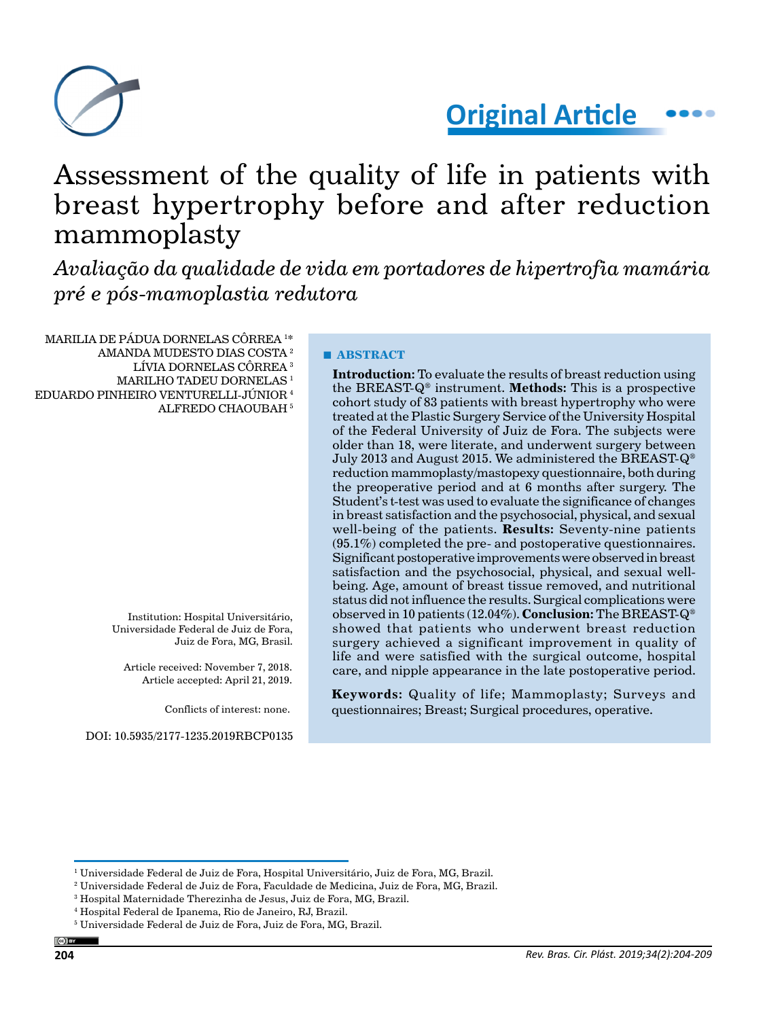

**Original Article**

# Assessment of the quality of life in patients with breast hypertrophy before and after reduction mammoplasty

*Avaliação da qualidade de vida em portadores de hipertrofia mamária pré e pós-mamoplastia redutora*

MARILIA DE PÁDUA DORNELAS CÔRREA 1 \* AMANDA MUDESTO DIAS COSTA 2

- 
- LÍVIA DORNELAS CÔRREA 3
- MARILHO TADEU DORNELAS<sup>1</sup>

EDUARDO PINHEIRO VENTURELLI-JÚNIOR 4 ALFREDO CHAOUBAH 5

> Institution: Hospital Universitário, Universidade Federal de Juiz de Fora, Juiz de Fora, MG, Brasil.

Article received: November 7, 2018. Article accepted: April 21, 2019.

Conflicts of interest: none.

DOI: 10.5935/2177-1235.2019RBCP0135

## **■ ABSTRACT**

**Introduction:** To evaluate the results of breast reduction using the BREAST-Q® instrument. **Methods:** This is a prospective cohort study of 83 patients with breast hypertrophy who were treated at the Plastic Surgery Service of the University Hospital of the Federal University of Juiz de Fora. The subjects were older than 18, were literate, and underwent surgery between July 2013 and August 2015. We administered the BREAST-Q® reduction mammoplasty/mastopexy questionnaire, both during the preoperative period and at 6 months after surgery. The Student's t-test was used to evaluate the significance of changes in breast satisfaction and the psychosocial, physical, and sexual well-being of the patients. **Results:** Seventy-nine patients  $(95.1\%)$  completed the pre- and postoperative questionnaires. Significant postoperative improvements were observed in breast satisfaction and the psychosocial, physical, and sexual wellbeing. Age, amount of breast tissue removed, and nutritional status did not influence the results. Surgical complications were observed in 10 patients (12.04%). **Conclusion:** The BREAST-Q® showed that patients who underwent breast reduction surgery achieved a significant improvement in quality of life and were satisfied with the surgical outcome, hospital care, and nipple appearance in the late postoperative period.

**Keywords:** Quality of life; Mammoplasty; Surveys and questionnaires; Breast; Surgical procedures, operative.

 $^{\rm I}$  Universidade Federal de Juiz de Fora, Hospital Universitário, Juiz de Fora, MG, Brazil.

 $^{\rm 2}$  Universidade Federal de Juiz de Fora, Faculdade de Medicina, Juiz de Fora, MG, Brazil.

<sup>3</sup> Hospital Maternidade Therezinha de Jesus, Juiz de Fora, MG, Brazil.

<sup>4</sup> Hospital Federal de Ipanema, Rio de Janeiro, RJ, Brazil.

<sup>5</sup> Universidade Federal de Juiz de Fora, Juiz de Fora, MG, Brazil.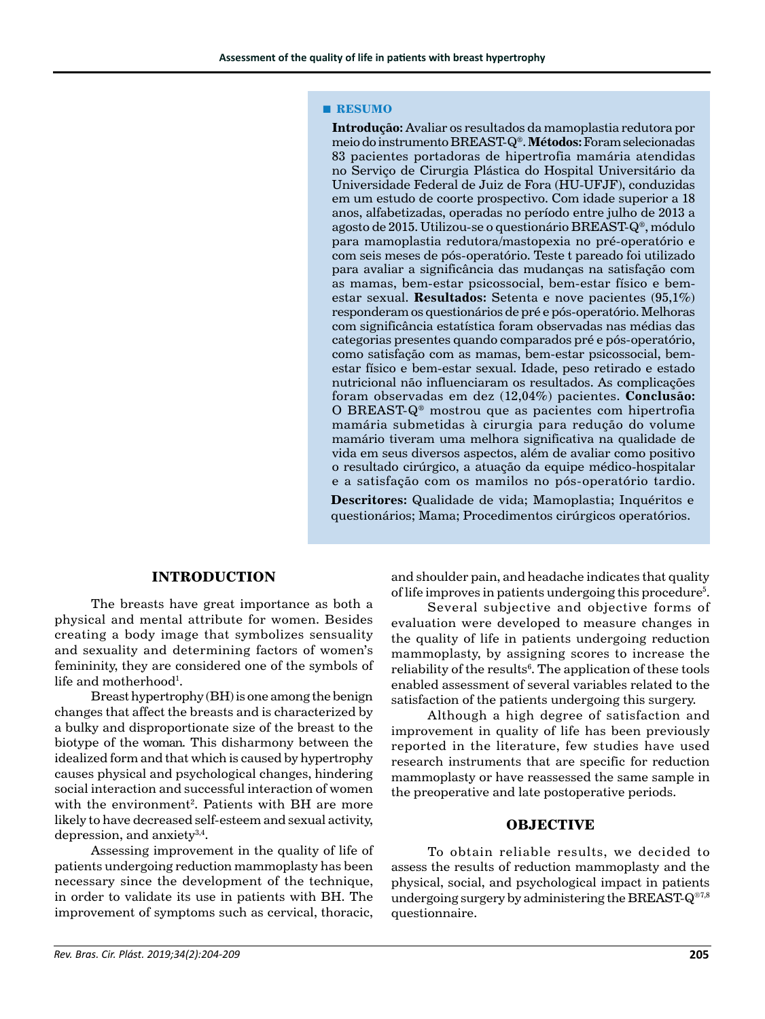#### **■ RESUMO**

**Introdução:** Avaliar os resultados da mamoplastia redutora por meio do instrumento BREAST-Q®. **Métodos:** Foram selecionadas 83 pacientes portadoras de hipertrofia mamária atendidas no Serviço de Cirurgia Plástica do Hospital Universitário da Universidade Federal de Juiz de Fora (HU-UFJF), conduzidas em um estudo de coorte prospectivo. Com idade superior a 18 anos, alfabetizadas, operadas no período entre julho de 2013 a agosto de 2015. Utilizou-se o questionário BREAST-Q®, módulo para mamoplastia redutora/mastopexia no pré-operatório e com seis meses de pós-operatório. Teste t pareado foi utilizado para avaliar a significância das mudanças na satisfação com as mamas, bem-estar psicossocial, bem-estar físico e bemestar sexual. **Resultados:** Setenta e nove pacientes (95,1%) responderam os questionários de pré e pós-operatório. Melhoras com significância estatística foram observadas nas médias das categorias presentes quando comparados pré e pós-operatório, como satisfação com as mamas, bem-estar psicossocial, bemestar físico e bem-estar sexual. Idade, peso retirado e estado nutricional não influenciaram os resultados. As complicações foram observadas em dez (12,04%) pacientes. **Conclusão:** O BREAST-Q® mostrou que as pacientes com hipertrofia mamária submetidas à cirurgia para redução do volume mamário tiveram uma melhora significativa na qualidade de vida em seus diversos aspectos, além de avaliar como positivo o resultado cirúrgico, a atuação da equipe médico-hospitalar e a satisfação com os mamilos no pós-operatório tardio.

**Descritores:** Qualidade de vida; Mamoplastia; Inquéritos e questionários; Mama; Procedimentos cirúrgicos operatórios.

## **INTRODUCTION**

The breasts have great importance as both a physical and mental attribute for women. Besides creating a body image that symbolizes sensuality and sexuality and determining factors of women's femininity, they are considered one of the symbols of life and motherhood $^{\rm l}$ .

Breast hypertrophy (BH) is one among the benign changes that affect the breasts and is characterized by a bulky and disproportionate size of the breast to the biotype of the woman. This disharmony between the idealized form and that which is caused by hypertrophy causes physical and psychological changes, hindering social interaction and successful interaction of women with the environment<sup>2</sup>. Patients with BH are more likely to have decreased self-esteem and sexual activity, depression, and anxiet $v^{3,4}$ .

Assessing improvement in the quality of life of patients undergoing reduction mammoplasty has been necessary since the development of the technique, in order to validate its use in patients with BH. The improvement of symptoms such as cervical, thoracic,

and shoulder pain, and headache indicates that quality of life improves in patients undergoing this procedure<sup>5</sup>.

Several subjective and objective forms of evaluation were developed to measure changes in the quality of life in patients undergoing reduction mammoplasty, by assigning scores to increase the reliability of the results<sup>6</sup>. The application of these tools enabled assessment of several variables related to the satisfaction of the patients undergoing this surgery.

Although a high degree of satisfaction and improvement in quality of life has been previously reported in the literature, few studies have used research instruments that are specific for reduction mammoplasty or have reassessed the same sample in the preoperative and late postoperative periods.

#### **OBJECTIVE**

To obtain reliable results, we decided to assess the results of reduction mammoplasty and the physical, social, and psychological impact in patients undergoing surgery by administering the BREAST- $Q^{\otimes 7,8}$ questionnaire.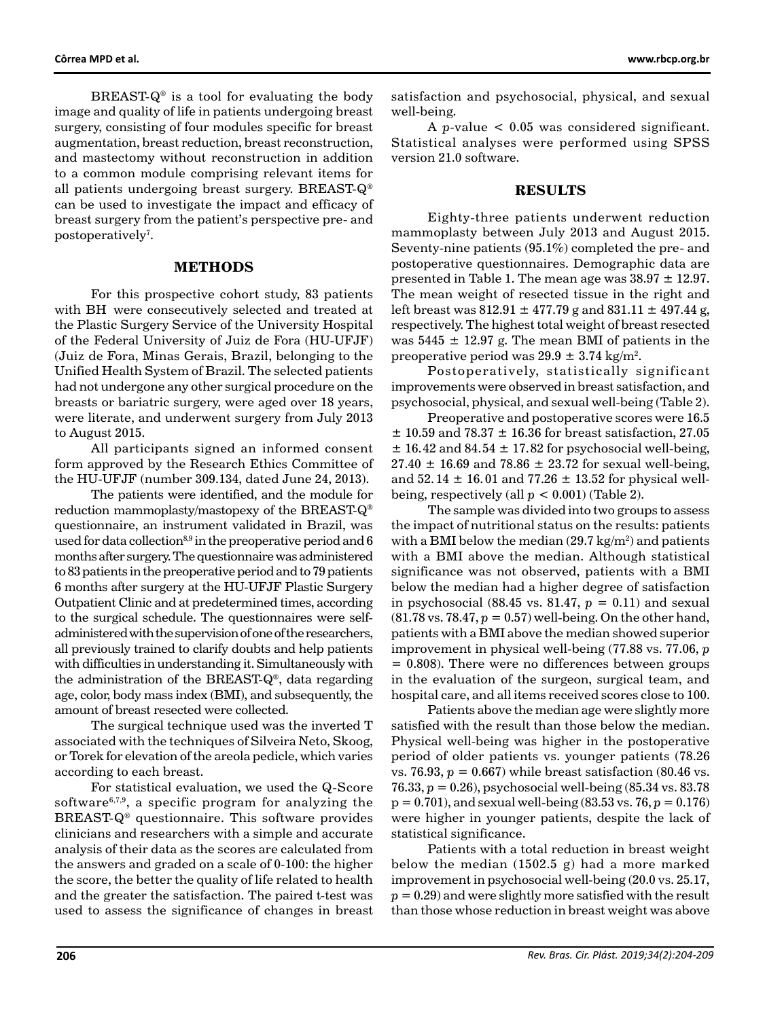BREAST- $Q^*$  is a tool for evaluating the body image and quality of life in patients undergoing breast surgery, consisting of four modules specific for breast augmentation, breast reduction, breast reconstruction, and mastectomy without reconstruction in addition to a common module comprising relevant items for all patients undergoing breast surgery. BREAST-Q® can be used to investigate the impact and efficacy of breast surgery from the patient's perspective pre- and postoperatively<sup>7</sup>.

#### **METHODS**

For this prospective cohort study, 83 patients with BH were consecutively selected and treated at the Plastic Surgery Service of the University Hospital of the Federal University of Juiz de Fora (HU-UFJF) (Juiz de Fora, Minas Gerais, Brazil, belonging to the Unified Health System of Brazil. The selected patients had not undergone any other surgical procedure on the breasts or bariatric surgery, were aged over 18 years, were literate, and underwent surgery from July 2013 to August 2015.

All participants signed an informed consent form approved by the Research Ethics Committee of the HU-UFJF (number 309.134, dated June 24, 2013).

The patients were identified, and the module for reduction mammoplasty/mastopexy of the BREAST-Q® questionnaire, an instrument validated in Brazil, was used for data collection<sup>8,9</sup> in the preoperative period and  $6$ months after surgery. The questionnaire was administered to 83 patients in the preoperative period and to 79 patients 6 months after surgery at the HU-UFJF Plastic Surgery Outpatient Clinic and at predetermined times, according to the surgical schedule. The questionnaires were selfadministered with the supervision of one of the researchers, all previously trained to clarify doubts and help patients with difficulties in understanding it. Simultaneously with the administration of the BREAST-Q®, data regarding age, color, body mass index (BMI), and subsequently, the amount of breast resected were collected.

The surgical technique used was the inverted T associated with the techniques of Silveira Neto, Skoog, or Torek for elevation of the areola pedicle, which varies according to each breast.

For statistical evaluation, we used the Q-Score software $6,7,9$ , a specific program for analyzing the BREAST-Q® questionnaire. This software provides clinicians and researchers with a simple and accurate analysis of their data as the scores are calculated from the answers and graded on a scale of 0-100: the higher the score, the better the quality of life related to health and the greater the satisfaction. The paired t-test was used to assess the significance of changes in breast satisfaction and psychosocial, physical, and sexual well-being.

A *p*-value < 0.05 was considered significant. Statistical analyses were performed using SPSS version 21.0 software.

#### **RESULTS**

Eighty-three patients underwent reduction mammoplasty between July 2013 and August 2015. Seventy-nine patients (95.1%) completed the pre- and postoperative questionnaires. Demographic data are presented in Table 1. The mean age was  $38.97 \pm 12.97$ . The mean weight of resected tissue in the right and left breast was  $812.91 \pm 477.79$  g and  $831.11 \pm 497.44$  g, respectively. The highest total weight of breast resected was  $5445 \pm 12.97$  g. The mean BMI of patients in the preoperative period was 29.9  $\pm$  3.74 kg/m<sup>2</sup>.

Postoperatively, statistically significant improvements were observed in breast satisfaction, and psychosocial, physical, and sexual well-being (Table 2).

Preoperative and postoperative scores were 16.5  $\pm$  10.59 and 78.37  $\pm$  16.36 for breast satisfaction, 27.05  $\pm$  16.42 and 84.54  $\pm$  17.82 for psychosocial well-being,  $27.40 \pm 16.69$  and  $78.86 \pm 23.72$  for sexual well-being, and  $52.14 \pm 16.01$  and  $77.26 \pm 13.52$  for physical wellbeing, respectively (all  $p < 0.001$ ) (Table 2).

The sample was divided into two groups to assess the impact of nutritional status on the results: patients with a BMI below the median  $(29.7 \text{ kg/m}^2)$  and patients with a BMI above the median. Although statistical significance was not observed, patients with a BMI below the median had a higher degree of satisfaction in psychosocial (88.45 vs. 81.47,  $p = 0.11$ ) and sexual (81.78 vs. 78.47, *p* = 0.57) well-being. On the other hand, patients with a BMI above the median showed superior improvement in physical well-being (77.88 vs. 77.06, *p* = 0.808). There were no differences between groups in the evaluation of the surgeon, surgical team, and hospital care, and all items received scores close to 100.

Patients above the median age were slightly more satisfied with the result than those below the median. Physical well-being was higher in the postoperative period of older patients vs. younger patients (78.26 vs. 76.93,  $p = 0.667$ ) while breast satisfaction (80.46 vs. 76.33, *p* = 0.26), psychosocial well-being (85.34 vs. 83.78  $p = 0.701$ , and sexual well-being (83.53 vs. 76,  $p = 0.176$ ) were higher in younger patients, despite the lack of statistical significance.

Patients with a total reduction in breast weight below the median (1502.5 g) had a more marked improvement in psychosocial well-being (20.0 vs. 25.17,  $p = 0.29$  and were slightly more satisfied with the result than those whose reduction in breast weight was above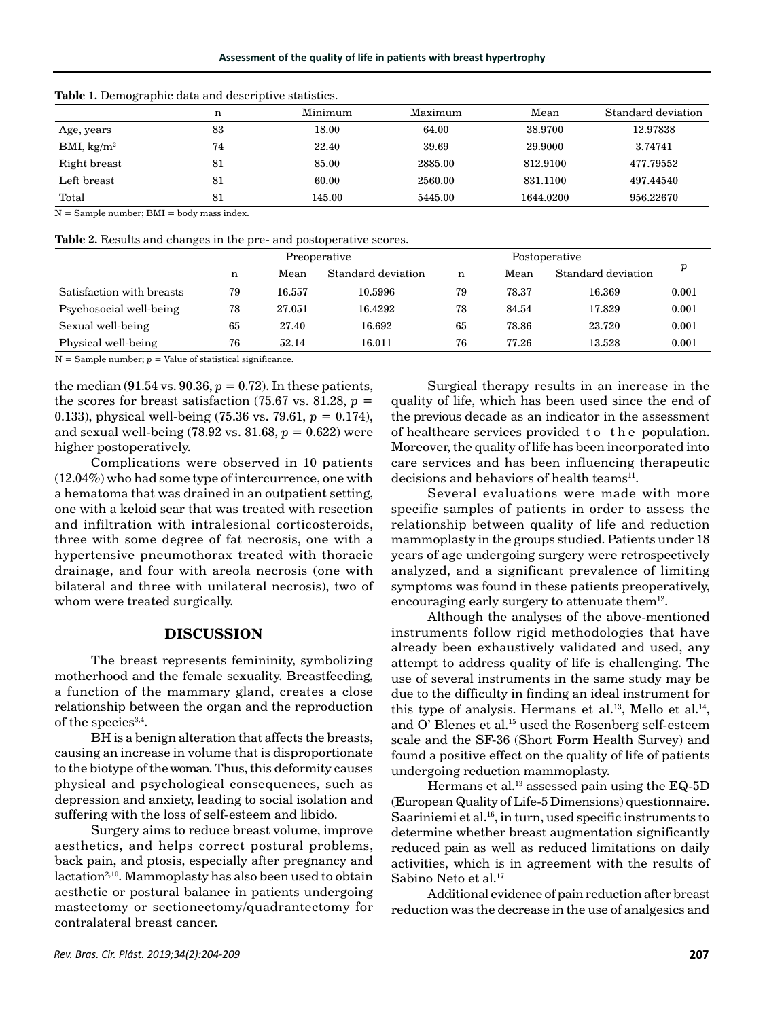|                        | n  | Minimum | Maximum | Standard deviation<br>Mean |           |
|------------------------|----|---------|---------|----------------------------|-----------|
| Age, years             | 83 | 18.00   | 64.00   | 38.9700                    | 12.97838  |
| BMI, kg/m <sup>2</sup> | 74 | 22.40   | 39.69   | 29.9000                    | 3.74741   |
| Right breast           | 81 | 85.00   | 2885.00 | 812.9100                   | 477.79552 |
| Left breast            | 81 | 60.00   | 2560.00 | 831.1100                   | 497.44540 |
| Total                  | 81 | 145.00  | 5445.00 | 1644.0200                  | 956.22670 |

**Table 1.** Demographic data and descriptive statistics.

 $N =$  Sample number; BMI = body mass index.

**Table 2.** Results and changes in the pre- and postoperative scores.

|                           | Preoperative |        |                    | Postoperative |       |                    |       |
|---------------------------|--------------|--------|--------------------|---------------|-------|--------------------|-------|
|                           | n            | Mean   | Standard deviation | n             | Mean  | Standard deviation | р     |
| Satisfaction with breasts | 79           | 16.557 | 10.5996            | 79            | 78.37 | 16.369             | 0.001 |
| Psychosocial well-being   | 78           | 27.051 | 16.4292            | 78            | 84.54 | 17.829             | 0.001 |
| Sexual well-being         | 65           | 27.40  | 16.692             | 65            | 78.86 | 23.720             | 0.001 |
| Physical well-being       | 76           | 52.14  | 16.011             | 76            | 77.26 | 13.528             | 0.001 |

 $N =$  Sample number;  $p =$  Value of statistical significance.

the median  $(91.54 \text{ vs. } 90.36, p = 0.72)$ . In these patients, the scores for breast satisfaction (75.67 vs. 81.28,  $p =$ 0.133), physical well-being (75.36 vs. 79.61, *p* = 0.174), and sexual well-being (78.92 vs. 81.68, *p* = 0.622) were higher postoperatively.

Complications were observed in 10 patients (12.04%) who had some type of intercurrence, one with a hematoma that was drained in an outpatient setting, one with a keloid scar that was treated with resection and infiltration with intralesional corticosteroids, three with some degree of fat necrosis, one with a hypertensive pneumothorax treated with thoracic drainage, and four with areola necrosis (one with bilateral and three with unilateral necrosis), two of whom were treated surgically.

## **DISCUSSION**

The breast represents femininity, symbolizing motherhood and the female sexuality. Breastfeeding, a function of the mammary gland, creates a close relationship between the organ and the reproduction of the species $3,4$ .

BH is a benign alteration that affects the breasts, causing an increase in volume that is disproportionate to the biotype of the woman. Thus, this deformity causes physical and psychological consequences, such as depression and anxiety, leading to social isolation and suffering with the loss of self-esteem and libido.

Surgery aims to reduce breast volume, improve aesthetics, and helps correct postural problems, back pain, and ptosis, especially after pregnancy and lactation<sup>2,10</sup>. Mammoplasty has also been used to obtain aesthetic or postural balance in patients undergoing mastectomy or sectionectomy/quadrantectomy for contralateral breast cancer.

Surgical therapy results in an increase in the quality of life, which has been used since the end of the previous decade as an indicator in the assessment of healthcare services provided t o t h e population. Moreover, the quality of life has been incorporated into care services and has been influencing therapeutic decisions and behaviors of health teams<sup>11</sup>.

Several evaluations were made with more specific samples of patients in order to assess the relationship between quality of life and reduction mammoplasty in the groups studied. Patients under 18 years of age undergoing surgery were retrospectively analyzed, and a significant prevalence of limiting symptoms was found in these patients preoperatively, encouraging early surgery to attenuate them $12$ .

Although the analyses of the above-mentioned instruments follow rigid methodologies that have already been exhaustively validated and used, any attempt to address quality of life is challenging. The use of several instruments in the same study may be due to the difficulty in finding an ideal instrument for this type of analysis. Hermans et al.<sup>13</sup>, Mello et al.<sup>14</sup>, and O' Blenes et al.<sup>15</sup> used the Rosenberg self-esteem scale and the SF-36 (Short Form Health Survey) and found a positive effect on the quality of life of patients undergoing reduction mammoplasty.

Hermans et al.<sup>13</sup> assessed pain using the  $EQ-5D$ (European Quality of Life-5 Dimensions) questionnaire. Saariniemi et al.16, in turn, used specific instruments to determine whether breast augmentation significantly reduced pain as well as reduced limitations on daily activities, which is in agreement with the results of Sabino Neto et al.<sup>17</sup>

Additional evidence of pain reduction after breast reduction was the decrease in the use of analgesics and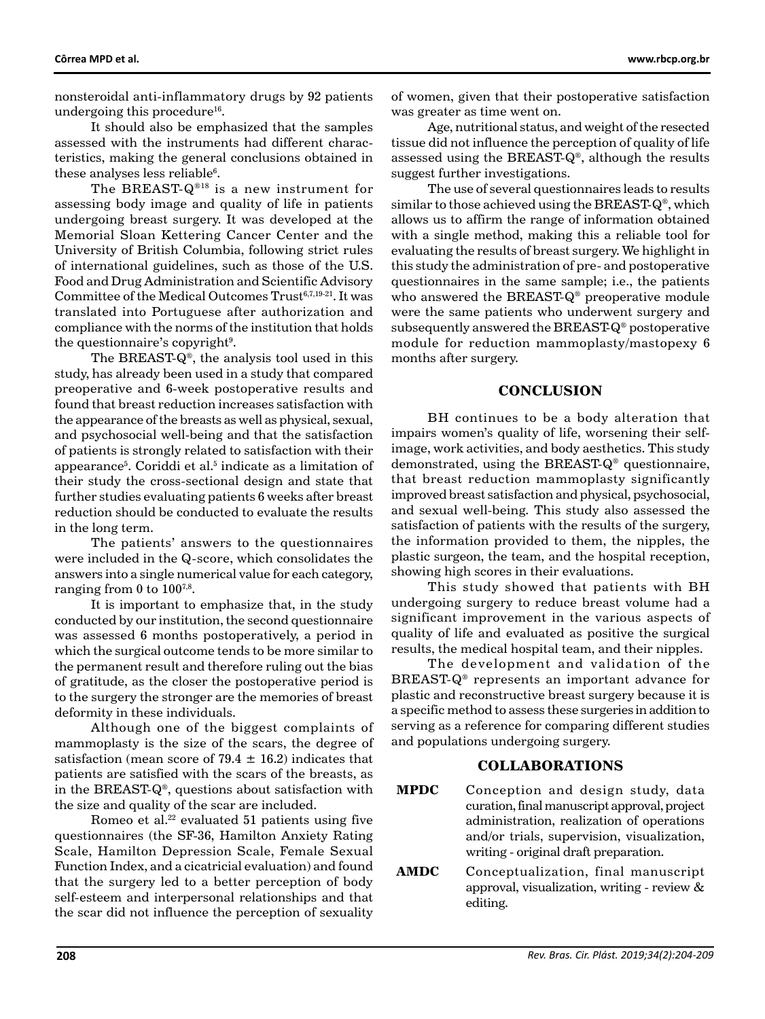nonsteroidal anti-inflammatory drugs by 92 patients undergoing this procedure<sup>16</sup>.

It should also be emphasized that the samples assessed with the instruments had different characteristics, making the general conclusions obtained in these analyses less reliable $6$ .

The BREAST-Q®18 is a new instrument for assessing body image and quality of life in patients undergoing breast surgery. It was developed at the Memorial Sloan Kettering Cancer Center and the University of British Columbia, following strict rules of international guidelines, such as those of the U.S. Food and Drug Administration and Scientific Advisory Committee of the Medical Outcomes Trust<sup>6,7,19-21</sup>. It was translated into Portuguese after authorization and compliance with the norms of the institution that holds the questionnaire's copyright $^9$ .

The BREAST-Q®, the analysis tool used in this study, has already been used in a study that compared preoperative and 6-week postoperative results and found that breast reduction increases satisfaction with the appearance of the breasts as well as physical, sexual, and psychosocial well-being and that the satisfaction of patients is strongly related to satisfaction with their appearance<sup>5</sup>. Coriddi et al.<sup>5</sup> indicate as a limitation of their study the cross-sectional design and state that further studies evaluating patients 6 weeks after breast reduction should be conducted to evaluate the results in the long term.

The patients' answers to the questionnaires were included in the Q-score, which consolidates the answers into a single numerical value for each category, ranging from 0 to  $100^{7,8}$ .

It is important to emphasize that, in the study conducted by our institution, the second questionnaire was assessed 6 months postoperatively, a period in which the surgical outcome tends to be more similar to the permanent result and therefore ruling out the bias of gratitude, as the closer the postoperative period is to the surgery the stronger are the memories of breast deformity in these individuals.

Although one of the biggest complaints of mammoplasty is the size of the scars, the degree of satisfaction (mean score of 79.4  $\pm$  16.2) indicates that patients are satisfied with the scars of the breasts, as in the BREAST-Q®, questions about satisfaction with the size and quality of the scar are included.

Romeo et al. $2<sup>2</sup>$  evaluated 51 patients using five questionnaires (the SF-36, Hamilton Anxiety Rating Scale, Hamilton Depression Scale, Female Sexual Function Index, and a cicatricial evaluation) and found that the surgery led to a better perception of body self-esteem and interpersonal relationships and that the scar did not influence the perception of sexuality

of women, given that their postoperative satisfaction was greater as time went on.

Age, nutritional status, and weight of the resected tissue did not influence the perception of quality of life assessed using the BREAST-Q®, although the results suggest further investigations.

The use of several questionnaires leads to results similar to those achieved using the BREAST-Q®, which allows us to affirm the range of information obtained with a single method, making this a reliable tool for evaluating the results of breast surgery. We highlight in this study the administration of pre- and postoperative questionnaires in the same sample; i.e., the patients who answered the BREAST-Q® preoperative module were the same patients who underwent surgery and subsequently answered the BREAST-Q® postoperative module for reduction mammoplasty/mastopexy 6 months after surgery.

#### **CONCLUSION**

BH continues to be a body alteration that impairs women's quality of life, worsening their selfimage, work activities, and body aesthetics. This study demonstrated, using the BREAST-Q® questionnaire, that breast reduction mammoplasty significantly improved breast satisfaction and physical, psychosocial, and sexual well-being. This study also assessed the satisfaction of patients with the results of the surgery, the information provided to them, the nipples, the plastic surgeon, the team, and the hospital reception, showing high scores in their evaluations.

This study showed that patients with BH undergoing surgery to reduce breast volume had a significant improvement in the various aspects of quality of life and evaluated as positive the surgical results, the medical hospital team, and their nipples.

The development and validation of the BREAST-Q® represents an important advance for plastic and reconstructive breast surgery because it is a specific method to assess these surgeries in addition to serving as a reference for comparing different studies and populations undergoing surgery.

# **COLLABORATIONS**

- **MPDC** Conception and design study, data curation, final manuscript approval, project administration, realization of operations and/or trials, supervision, visualization, writing - original draft preparation.
- **AMDC** Conceptualization, final manuscript approval, visualization, writing - review & editing.